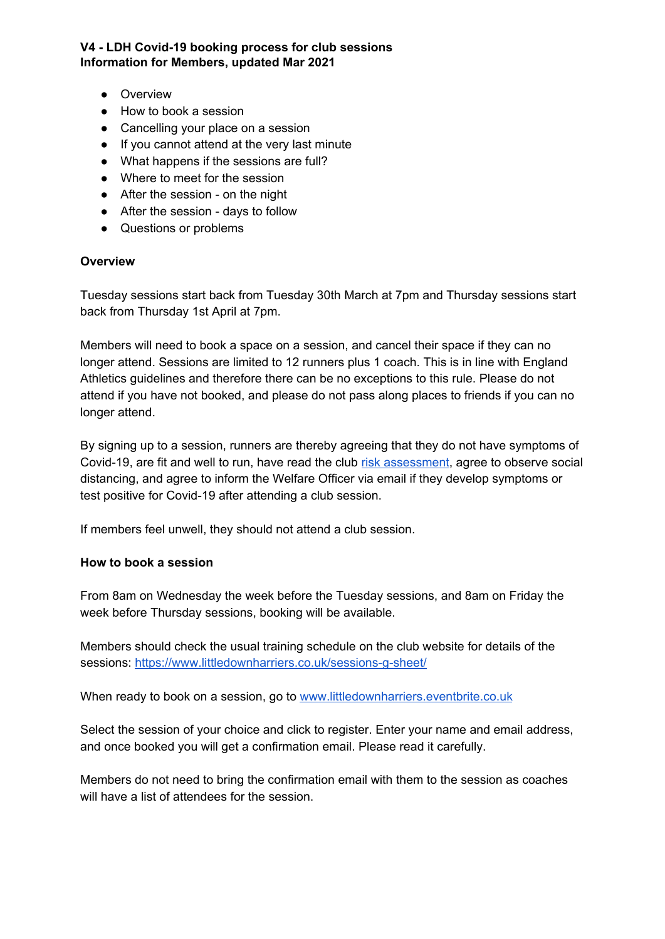**V4 - LDH Covid-19 booking process for club sessions Information for Members, updated Mar 2021**

- Overview
- How to book a session
- Cancelling your place on a session
- If you cannot attend at the very last minute
- What happens if the sessions are full?
- Where to meet for the session
- After the session on the night
- After the session days to follow
- Questions or problems

### **Overview**

Tuesday sessions start back from Tuesday 30th March at 7pm and Thursday sessions start back from Thursday 1st April at 7pm.

Members will need to book a space on a session, and cancel their space if they can no longer attend. Sessions are limited to 12 runners plus 1 coach. This is in line with England Athletics guidelines and therefore there can be no exceptions to this rule. Please do not attend if you have not booked, and please do not pass along places to friends if you can no longer attend.

By signing up to a session, runners are thereby agreeing that they do not have symptoms of Covid-19, are fit and well to run, have read the club risk [assessment,](https://www.littledownharriers.co.uk/wp-content/uploads/sites/2/2020/08/LDH-Club-Risk-Assessment-FINAL-August-2020.pdf) agree to observe social distancing, and agree to inform the Welfare Officer via email if they develop symptoms or test positive for Covid-19 after attending a club session.

If members feel unwell, they should not attend a club session.

### **How to book a session**

From 8am on Wednesday the week before the Tuesday sessions, and 8am on Friday the week before Thursday sessions, booking will be available.

Members should check the usual training schedule on the club website for details of the sessions: <https://www.littledownharriers.co.uk/sessions-g-sheet/>

When ready to book on a session, go to [www.littledownharriers.eventbrite.co.uk](http://www.littledownharriers.eventbrite.co.uk/)

Select the session of your choice and click to register. Enter your name and email address, and once booked you will get a confirmation email. Please read it carefully.

Members do not need to bring the confirmation email with them to the session as coaches will have a list of attendees for the session.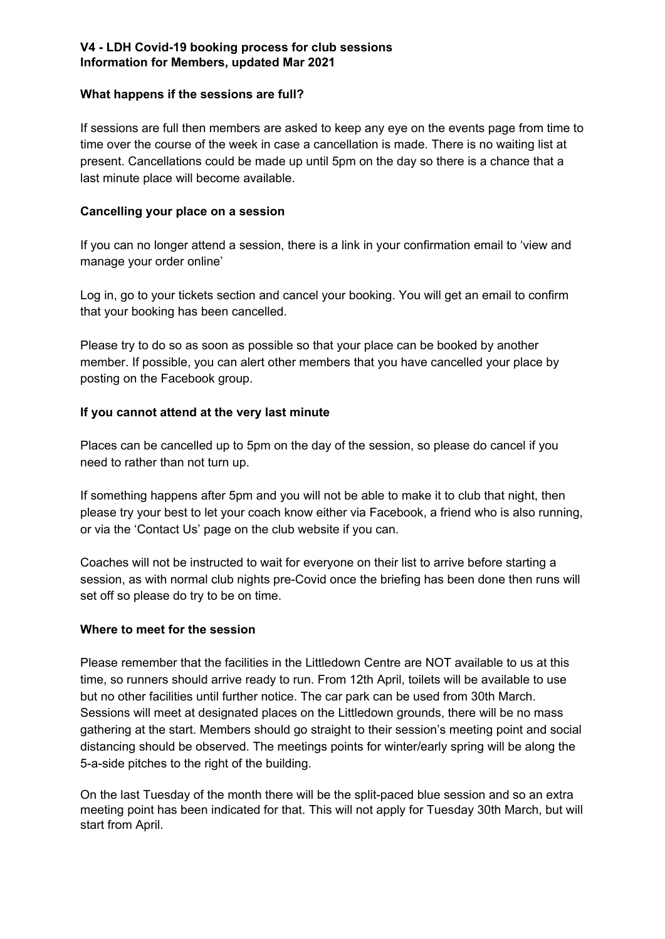## **V4 - LDH Covid-19 booking process for club sessions Information for Members, updated Mar 2021**

### **What happens if the sessions are full?**

If sessions are full then members are asked to keep any eye on the events page from time to time over the course of the week in case a cancellation is made. There is no waiting list at present. Cancellations could be made up until 5pm on the day so there is a chance that a last minute place will become available.

## **Cancelling your place on a session**

If you can no longer attend a session, there is a link in your confirmation email to 'view and manage your order online'

Log in, go to your tickets section and cancel your booking. You will get an email to confirm that your booking has been cancelled.

Please try to do so as soon as possible so that your place can be booked by another member. If possible, you can alert other members that you have cancelled your place by posting on the Facebook group.

# **If you cannot attend at the very last minute**

Places can be cancelled up to 5pm on the day of the session, so please do cancel if you need to rather than not turn up.

If something happens after 5pm and you will not be able to make it to club that night, then please try your best to let your coach know either via Facebook, a friend who is also running, or via the 'Contact Us' page on the club website if you can.

Coaches will not be instructed to wait for everyone on their list to arrive before starting a session, as with normal club nights pre-Covid once the briefing has been done then runs will set off so please do try to be on time.

# **Where to meet for the session**

Please remember that the facilities in the Littledown Centre are NOT available to us at this time, so runners should arrive ready to run. From 12th April, toilets will be available to use but no other facilities until further notice. The car park can be used from 30th March. Sessions will meet at designated places on the Littledown grounds, there will be no mass gathering at the start. Members should go straight to their session's meeting point and social distancing should be observed. The meetings points for winter/early spring will be along the 5-a-side pitches to the right of the building.

On the last Tuesday of the month there will be the split-paced blue session and so an extra meeting point has been indicated for that. This will not apply for Tuesday 30th March, but will start from April.